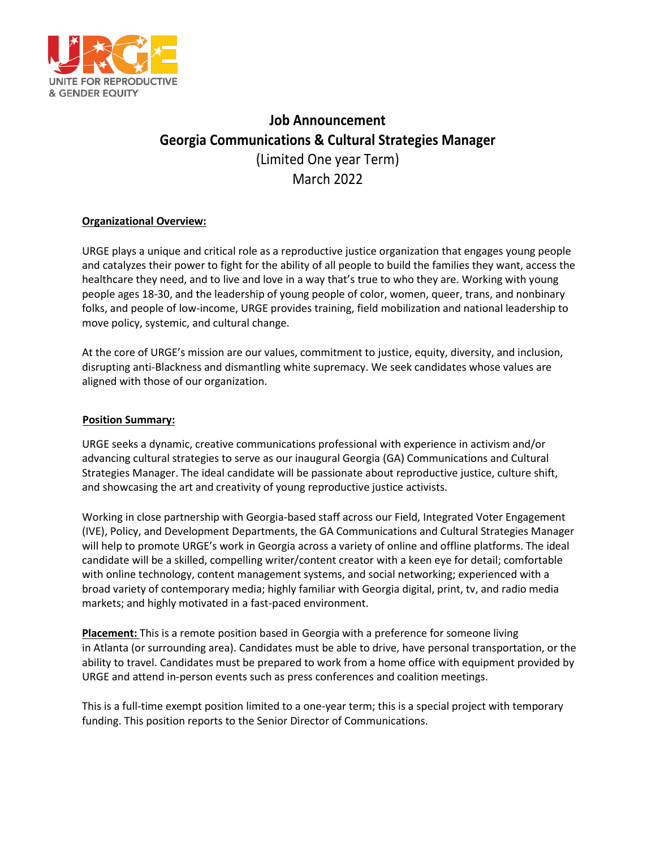

# **Job Announcement Georgia Communications & Cultural Strategies Manager**  (Limited One year Term) March 2022

## **Organizational Overview:**

URGE plays a unique and critical role as a reproductive justice organization that engages young people and catalyzes their power to fight for the ability of all people to build the families they want, access the healthcare they need, and to live and love in a way that's true to who they are. Working with young people ages 18-30, and the leadership of young people of color, women, queer, trans, and nonbinary folks, and people of low-income, URGE provides training, field mobilization and national leadership to move policy, systemic, and cultural change.

At the core of URGE's mission are our values, commitment to justice, equity, diversity, and inclusion, disrupting anti-Blackness and dismantling white supremacy. We seek candidates whose values are aligned with those of our organization.

### **Position Summary:**

URGE seeks a dynamic, creative communications professional with experience in activism and/or advancing cultural strategies to serve as our inaugural Georgia (GA) Communications and Cultural Strategies Manager. The ideal candidate will be passionate about reproductive justice, culture shift, and showcasing the art and creativity of young reproductive justice activists.

Working in close partnership with Georgia-based staff across our Field, Integrated Voter Engagement (IVE), Policy, and Development Departments, the GA Communications and Cultural Strategies Manager will help to promote URGE's work in Georgia across a variety of online and offline platforms. The ideal candidate will be a skilled, compelling writer/content creator with a keen eye for detail; comfortable with online technology, content management systems, and social networking; experienced with a broad variety of contemporary media; highly familiar with Georgia digital, print, tv, and radio media markets; and highly motivated in a fast-paced environment.

**Placement:** This is a remote position based in Georgia with a preference for someone living in Atlanta (or surrounding area). Candidates must be able to drive, have personal transportation, or the ability to travel. Candidates must be prepared to work from a home office with equipment provided by URGE and attend in-person events such as press conferences and coalition meetings.

This is a full-time exempt position limited to a one-year term; this is a special project with temporary funding. This position reports to the Senior Director of Communications.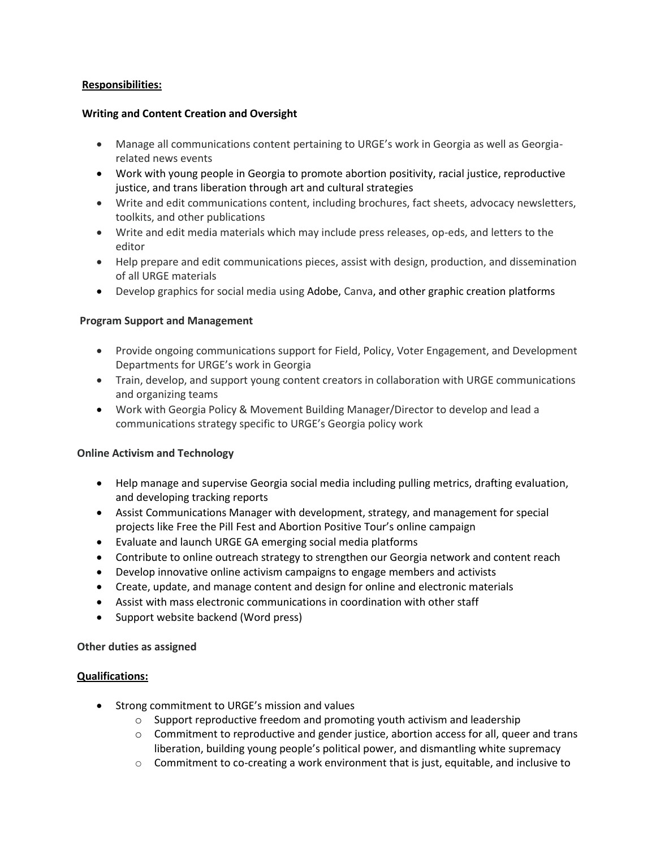## **Responsibilities:**

#### **Writing and Content Creation and Oversight**

- Manage all communications content pertaining to URGE's work in Georgia as well as Georgiarelated news events
- Work with young people in Georgia to promote abortion positivity, racial justice, reproductive justice, and trans liberation through art and cultural strategies
- Write and edit communications content, including brochures, fact sheets, advocacy newsletters, toolkits, and other publications
- Write and edit media materials which may include press releases, op-eds, and letters to the editor
- Help prepare and edit communications pieces, assist with design, production, and dissemination of all URGE materials
- Develop graphics for social media using Adobe, Canva, and other graphic creation platforms

#### **Program Support and Management**

- Provide ongoing communications support for Field, Policy, Voter Engagement, and Development Departments for URGE's work in Georgia
- Train, develop, and support young content creators in collaboration with URGE communications and organizing teams
- Work with Georgia Policy & Movement Building Manager/Director to develop and lead a communications strategy specific to URGE's Georgia policy work

## **Online Activism and Technology**

- Help manage and supervise Georgia social media including pulling metrics, drafting evaluation, and developing tracking reports
- Assist Communications Manager with development, strategy, and management for special projects like Free the Pill Fest and Abortion Positive Tour's online campaign
- Evaluate and launch URGE GA emerging social media platforms
- Contribute to online outreach strategy to strengthen our Georgia network and content reach
- Develop innovative online activism campaigns to engage members and activists
- Create, update, and manage content and design for online and electronic materials
- Assist with mass electronic communications in coordination with other staff
- Support website backend (Word press)

## **Other duties as assigned**

#### **Qualifications:**

- Strong commitment to URGE's mission and values
	- o Support reproductive freedom and promoting youth activism and leadership
	- $\circ$  Commitment to reproductive and gender justice, abortion access for all, queer and trans liberation, building young people's political power, and dismantling white supremacy
	- $\circ$  Commitment to co-creating a work environment that is just, equitable, and inclusive to